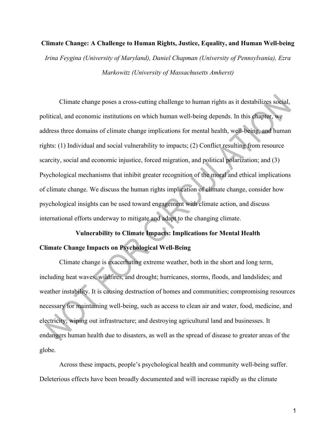#### **Climate Change: A Challenge to Human Rights, Justice, Equality, and Human Well-being**

*Irina Feygina (University of Maryland), Daniel Chapman (University of Pennsylvania), Ezra Markowitz (University of Massachusetts Amherst)*

Climate change poses a cross-cutting challenge to human rights as it destabilizes social, political, and economic institutions on which human well-being depends. In this chapter, we address three domains of climate change implications for mental health, well-being, and human rights: (1) Individual and social vulnerability to impacts; (2) Conflict resulting from resource scarcity, social and economic injustice, forced migration, and political polarization; and (3) Psychological mechanisms that inhibit greater recognition of the moral and ethical implications of climate change. We discuss the human rights implication of climate change, consider how psychological insights can be used toward engagement with climate action, and discuss international efforts underway to mitigate and adapt to the changing climate.

# **Vulnerability to Climate Impacts: Implications for Mental Health Climate Change Impacts on Psychological Well-Being**

Climate change is exacerbating extreme weather, both in the short and long term, including heat waves, wildfires, and drought; hurricanes, storms, floods, and landslides; and weather instability. It is causing destruction of homes and communities; compromising resources necessary for maintaining well-being, such as access to clean air and water, food, medicine, and electricity; wiping out infrastructure; and destroying agricultural land and businesses. It endangers human health due to disasters, as well as the spread of disease to greater areas of the globe.

Across these impacts, people's psychological health and community well-being suffer. Deleterious effects have been broadly documented and will increase rapidly as the climate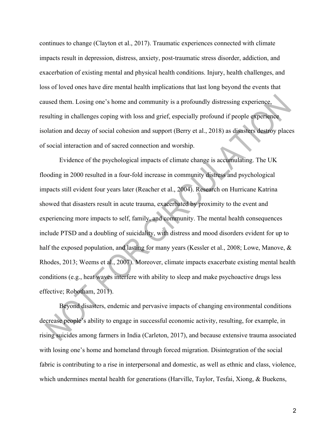continues to change (Clayton et al., 2017). Traumatic experiences connected with climate impacts result in depression, distress, anxiety, post-traumatic stress disorder, addiction, and exacerbation of existing mental and physical health conditions. Injury, health challenges, and loss of loved ones have dire mental health implications that last long beyond the events that caused them. Losing one's home and community is a profoundly distressing experience, resulting in challenges coping with loss and grief, especially profound if people experience isolation and decay of social cohesion and support (Berry et al., 2018) as disasters destroy places of social interaction and of sacred connection and worship.

Evidence of the psychological impacts of climate change is accumulating. The UK flooding in 2000 resulted in a four-fold increase in community distress and psychological impacts still evident four years later (Reacher et al., 2004). Research on Hurricane Katrina showed that disasters result in acute trauma, exacerbated by proximity to the event and experiencing more impacts to self, family, and community. The mental health consequences include PTSD and a doubling of suicidality, with distress and mood disorders evident for up to half the exposed population, and lasting for many years (Kessler et al., 2008; Lowe, Manove, & Rhodes, 2013; Weems et al., 2007). Moreover, climate impacts exacerbate existing mental health conditions (e.g., heat waves interfere with ability to sleep and make psychoactive drugs less effective; Robotham, 2011).

Beyond disasters, endemic and pervasive impacts of changing environmental conditions decrease people's ability to engage in successful economic activity, resulting, for example, in rising suicides among farmers in India (Carleton, 2017), and because extensive trauma associated with losing one's home and homeland through forced migration. Disintegration of the social fabric is contributing to a rise in interpersonal and domestic, as well as ethnic and class, violence, which undermines mental health for generations (Harville, Taylor, Tesfai, Xiong, & Buekens,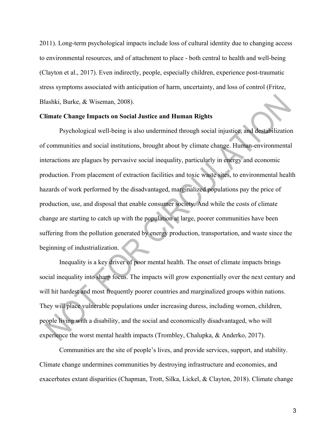2011). Long-term psychological impacts include loss of cultural identity due to changing access to environmental resources, and of attachment to place - both central to health and well-being (Clayton et al., 2017). Even indirectly, people, especially children, experience post-traumatic stress symptoms associated with anticipation of harm, uncertainty, and loss of control (Fritze, Blashki, Burke, & Wiseman, 2008).

#### **Climate Change Impacts on Social Justice and Human Rights**

Psychological well-being is also undermined through social injustice, and destabilization of communities and social institutions, brought about by climate change. Human-environmental interactions are plagues by pervasive social inequality, particularly in energy and economic production. From placement of extraction facilities and toxic waste sites, to environmental health hazards of work performed by the disadvantaged, marginalized populations pay the price of production, use, and disposal that enable consumer society. And while the costs of climate change are starting to catch up with the population at large, poorer communities have been suffering from the pollution generated by energy production, transportation, and waste since the beginning of industrialization.

Inequality is a key driver of poor mental health. The onset of climate impacts brings social inequality into sharp focus. The impacts will grow exponentially over the next century and will hit hardest and most frequently poorer countries and marginalized groups within nations. They will place vulnerable populations under increasing duress, including women, children, people living with a disability, and the social and economically disadvantaged, who will experience the worst mental health impacts (Trombley, Chalupka, & Anderko, 2017).

Communities are the site of people's lives, and provide services, support, and stability. Climate change undermines communities by destroying infrastructure and economies, and exacerbates extant disparities (Chapman, Trott, Silka, Lickel, & Clayton, 2018). Climate change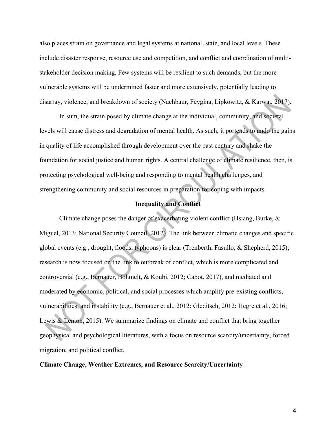also places strain on governance and legal systems at national, state, and local levels. These include disaster response, resource use and competition, and conflict and coordination of multistakeholder decision making. Few systems will be resilient to such demands, but the more vulnerable systems will be undermined faster and more extensively, potentially leading to disarray, violence, and breakdown of society (Nachbaur, Feygina, Lipkowitz, & Karwat, 2017).

In sum, the strain posed by climate change at the individual, community, and societal levels will cause distress and degradation of mental health. As such, it portends to undo the gains in quality of life accomplished through development over the past century and shake the foundation for social justice and human rights. A central challenge of climate resilience, then, is protecting psychological well-being and responding to mental health challenges, and strengthening community and social resources in preparation for coping with impacts.

## **Inequality and Conflict**

Climate change poses the danger of exacerbating violent conflict (Hsiang, Burke, & Miguel, 2013; National Security Council, 2012). The link between climatic changes and specific global events (e.g., drought, floods, typhoons) is clear (Trenberth, Fasullo, & Shepherd, 2015); research is now focused on the link to outbreak of conflict, which is more complicated and controversial (e.g., Bernauer, Böhmelt, & Koubi, 2012; Cabot, 2017), and mediated and moderated by economic, political, and social processes which amplify pre-existing conflicts, vulnerabilities, and instability (e.g., Bernauer et al., 2012; Gleditsch, 2012; Hegre et al., 2016; Lewis & Lenton, 2015). We summarize findings on climate and conflict that bring together geophysical and psychological literatures, with a focus on resource scarcity/uncertainty, forced migration, and political conflict.

#### **Climate Change, Weather Extremes, and Resource Scarcity/Uncertainty**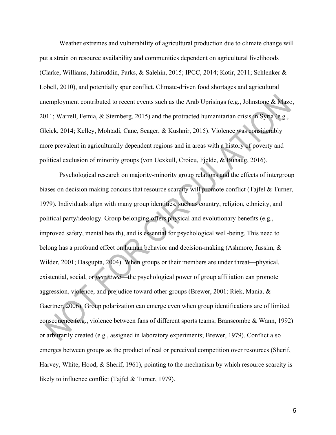Weather extremes and vulnerability of agricultural production due to climate change will put a strain on resource availability and communities dependent on agricultural livelihoods (Clarke, Williams, Jahiruddin, Parks, & Salehin, 2015; IPCC, 2014; Kotir, 2011; Schlenker & Lobell, 2010), and potentially spur conflict. Climate-driven food shortages and agricultural unemployment contributed to recent events such as the Arab Uprisings (e.g., Johnstone & Mazo, 2011; Warrell, Femia, & Sternberg, 2015) and the protracted humanitarian crisis in Syria (e.g., Gleick, 2014; Kelley, Mohtadi, Cane, Seager, & Kushnir, 2015). Violence was considerably more prevalent in agriculturally dependent regions and in areas with a history of poverty and political exclusion of minority groups (von Uexkull, Croicu, Fjelde, & Buhaug, 2016).

Psychological research on majority-minority group relations and the effects of intergroup biases on decision making concurs that resource scarcity will promote conflict (Tajfel & Turner, 1979). Individuals align with many group identities, such as country, religion, ethnicity, and political party/ideology. Group belonging offers physical and evolutionary benefits (e.g., improved safety, mental health), and is essential for psychological well-being. This need to belong has a profound effect on human behavior and decision-making (Ashmore, Jussim, & Wilder, 2001; Dasgupta, 2004). When groups or their members are under threat—physical, existential, social, or *perceived*—the psychological power of group affiliation can promote aggression, violence, and prejudice toward other groups (Brewer, 2001; Riek, Mania, & Gaertner, 2006). Group polarization can emerge even when group identifications are of limited consequence (e.g., violence between fans of different sports teams; Branscombe & Wann, 1992) or arbitrarily created (e.g., assigned in laboratory experiments; Brewer, 1979). Conflict also emerges between groups as the product of real or perceived competition over resources (Sherif, Harvey, White, Hood, & Sherif, 1961), pointing to the mechanism by which resource scarcity is likely to influence conflict (Tajfel & Turner, 1979).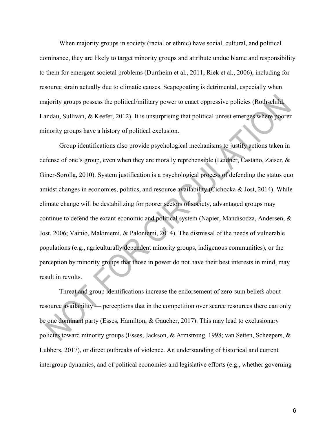When majority groups in society (racial or ethnic) have social, cultural, and political dominance, they are likely to target minority groups and attribute undue blame and responsibility to them for emergent societal problems (Durrheim et al., 2011; Riek et al., 2006), including for resource strain actually due to climatic causes. Scapegoating is detrimental, especially when majority groups possess the political/military power to enact oppressive policies (Rothschild, Landau, Sullivan, & Keefer, 2012). It is unsurprising that political unrest emerges where poorer minority groups have a history of political exclusion.

Group identifications also provide psychological mechanisms to justify actions taken in defense of one's group, even when they are morally reprehensible (Leidner, Castano, Zaiser, & Giner-Sorolla, 2010). System justification is a psychological process of defending the status quo amidst changes in economies, politics, and resource availability (Cichocka & Jost, 2014). While climate change will be destabilizing for poorer sectors of society, advantaged groups may continue to defend the extant economic and political system (Napier, Mandisodza, Andersen, & Jost, 2006; Vainio, Makiniemi, & Paloniemi, 2014). The dismissal of the needs of vulnerable populations (e.g., agriculturally dependent minority groups, indigenous communities), or the perception by minority groups that those in power do not have their best interests in mind, may result in revolts.

Threat and group identifications increase the endorsement of zero-sum beliefs about resource availability — perceptions that in the competition over scarce resources there can only be one dominant party (Esses, Hamilton, & Gaucher, 2017). This may lead to exclusionary policies toward minority groups (Esses, Jackson, & Armstrong, 1998; van Setten, Scheepers, & Lubbers, 2017), or direct outbreaks of violence. An understanding of historical and current intergroup dynamics, and of political economies and legislative efforts (e.g., whether governing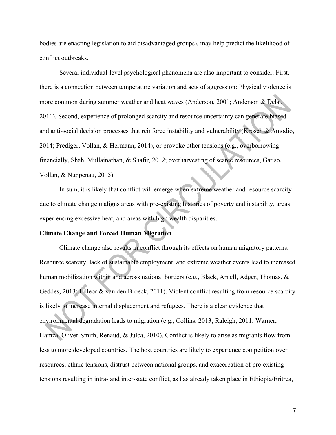bodies are enacting legislation to aid disadvantaged groups), may help predict the likelihood of conflict outbreaks.

Several individual-level psychological phenomena are also important to consider. First, there is a connection between temperature variation and acts of aggression: Physical violence is more common during summer weather and heat waves (Anderson, 2001; Anderson & Delsi, 2011). Second, experience of prolonged scarcity and resource uncertainty can generate biased and anti-social decision processes that reinforce instability and vulnerability (Krosch & Amodio, 2014; Prediger, Vollan, & Hermann, 2014), or provoke other tensions (e.g., overborrowing financially, Shah, Mullainathan, & Shafir, 2012; overharvesting of scarce resources, Gatiso, Vollan, & Nuppenau, 2015).

In sum, it is likely that conflict will emerge when extreme weather and resource scarcity due to climate change maligns areas with pre-existing histories of poverty and instability, areas experiencing excessive heat, and areas with high wealth disparities.

# **Climate Change and Forced Human Migration**

Climate change also results in conflict through its effects on human migratory patterns. Resource scarcity, lack of sustainable employment, and extreme weather events lead to increased human mobilization within and across national borders (e.g., Black, Arnell, Adger, Thomas, & Geddes, 2013; Lilleor & van den Broeck, 2011). Violent conflict resulting from resource scarcity is likely to increase internal displacement and refugees. There is a clear evidence that environmental degradation leads to migration (e.g., Collins, 2013; Raleigh, 2011; Warner, Hamza, Oliver-Smith, Renaud, & Julca, 2010). Conflict is likely to arise as migrants flow from less to more developed countries. The host countries are likely to experience competition over resources, ethnic tensions, distrust between national groups, and exacerbation of pre-existing tensions resulting in intra- and inter-state conflict, as has already taken place in Ethiopia/Eritrea,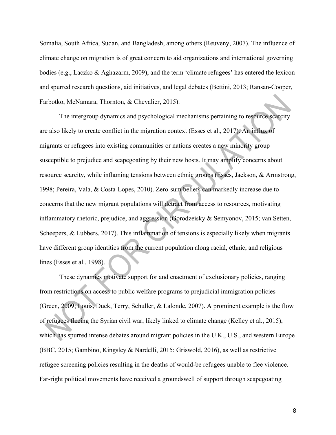Somalia, South Africa, Sudan, and Bangladesh, among others (Reuveny, 2007). The influence of climate change on migration is of great concern to aid organizations and international governing bodies (e.g., Laczko & Aghazarm, 2009), and the term 'climate refugees' has entered the lexicon and spurred research questions, aid initiatives, and legal debates (Bettini, 2013; Ransan-Cooper, Farbotko, McNamara, Thornton, & Chevalier, 2015).

The intergroup dynamics and psychological mechanisms pertaining to resource scarcity are also likely to create conflict in the migration context (Esses et al., 2017). An influx of migrants or refugees into existing communities or nations creates a new minority group susceptible to prejudice and scapegoating by their new hosts. It may amplify concerns about resource scarcity, while inflaming tensions between ethnic groups (Esses, Jackson, & Armstrong, 1998; Pereira, Vala, & Costa-Lopes, 2010). Zero-sum beliefs can markedly increase due to concerns that the new migrant populations will detract from access to resources, motivating inflammatory rhetoric, prejudice, and aggression (Gorodzeisky & Semyonov, 2015; van Setten, Scheepers, & Lubbers, 2017). This inflammation of tensions is especially likely when migrants have different group identities from the current population along racial, ethnic, and religious lines (Esses et al., 1998).

These dynamics motivate support for and enactment of exclusionary policies, ranging from restrictions on access to public welfare programs to prejudicial immigration policies (Green, 2009; Louis, Duck, Terry, Schuller, & Lalonde, 2007). A prominent example is the flow of refugees fleeing the Syrian civil war, likely linked to climate change (Kelley et al., 2015), which has spurred intense debates around migrant policies in the U.K., U.S., and western Europe (BBC, 2015; Gambino, Kingsley & Nardelli, 2015; Griswold, 2016), as well as restrictive refugee screening policies resulting in the deaths of would-be refugees unable to flee violence. Far-right political movements have received a groundswell of support through scapegoating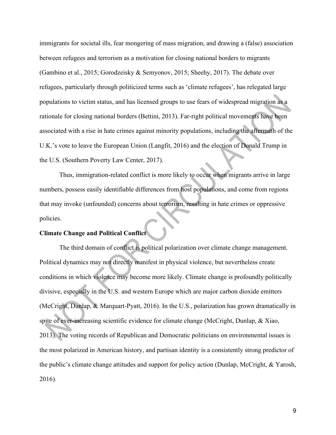immigrants for societal ills, fear mongering of mass migration, and drawing a (false) association between refugees and terrorism as a motivation for closing national borders to migrants (Gambino et al., 2015; Gorodzeisky & Semyonov, 2015; Sheehy, 2017). The debate over refugees, particularly through politicized terms such as 'climate refugees', has relegated large populations to victim status, and has licensed groups to use fears of widespread migration as a rationale for closing national borders (Bettini, 2013). Far-right political movements have been associated with a rise in hate crimes against minority populations, including the aftermath of the U.K.'s vote to leave the European Union (Langfit, 2016) and the election of Donald Trump in the U.S. (Southern Poverty Law Center, 2017).

Thus, immigration-related conflict is more likely to occur when migrants arrive in large numbers, possess easily identifiable differences from host populations, and come from regions that may invoke (unfounded) concerns about terrorism, resulting in hate crimes or oppressive policies.

# **Climate Change and Political Conflict**

The third domain of conflict is political polarization over climate change management. Political dynamics may not directly manifest in physical violence, but nevertheless create conditions in which violence may become more likely. Climate change is profoundly politically divisive, especially in the U.S. and western Europe which are major carbon dioxide emitters (McCright, Dunlap, & Marquart-Pyatt, 2016). In the U.S., polarization has grown dramatically in spite of ever-increasing scientific evidence for climate change (McCright, Dunlap, & Xiao, 2013). The voting records of Republican and Democratic politicians on environmental issues is the most polarized in American history, and partisan identity is a consistently strong predictor of the public's climate change attitudes and support for policy action (Dunlap, McCright, & Yarosh, 2016).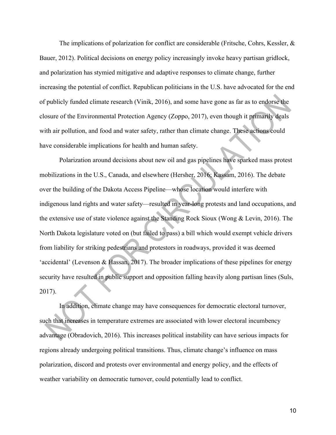The implications of polarization for conflict are considerable (Fritsche, Cohrs, Kessler, & Bauer, 2012). Political decisions on energy policy increasingly invoke heavy partisan gridlock, and polarization has stymied mitigative and adaptive responses to climate change, further increasing the potential of conflict. Republican politicians in the U.S. have advocated for the end of publicly funded climate research (Vinik, 2016), and some have gone as far as to endorse the closure of the Environmental Protection Agency (Zoppo, 2017), even though it primarily deals with air pollution, and food and water safety, rather than climate change. These actions could have considerable implications for health and human safety.

Polarization around decisions about new oil and gas pipelines have sparked mass protest mobilizations in the U.S., Canada, and elsewhere (Hersher, 2016; Kassam, 2016). The debate over the building of the Dakota Access Pipeline—whose location would interfere with indigenous land rights and water safety—resulted in year-long protests and land occupations, and the extensive use of state violence against the Standing Rock Sioux (Wong & Levin, 2016). The North Dakota legislature voted on (but failed to pass) a bill which would exempt vehicle drivers from liability for striking pedestrians and protestors in roadways, provided it was deemed 'accidental' (Levenson & Hassan, 2017). The broader implications of these pipelines for energy security have resulted in public support and opposition falling heavily along partisan lines (Suls, 2017).

In addition, climate change may have consequences for democratic electoral turnover, such that increases in temperature extremes are associated with lower electoral incumbency advantage (Obradovich, 2016). This increases political instability can have serious impacts for regions already undergoing political transitions. Thus, climate change's influence on mass polarization, discord and protests over environmental and energy policy, and the effects of weather variability on democratic turnover, could potentially lead to conflict.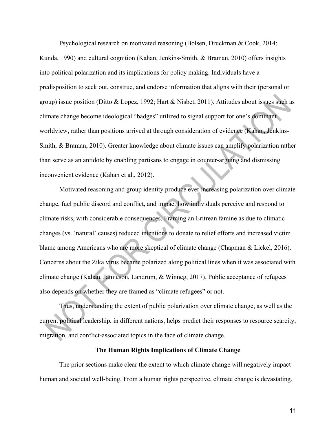Psychological research on motivated reasoning (Bolsen, Druckman & Cook, 2014; Kunda, 1990) and cultural cognition (Kahan, Jenkins-Smith, & Braman, 2010) offers insights into political polarization and its implications for policy making. Individuals have a predisposition to seek out, construe, and endorse information that aligns with their (personal or group) issue position (Ditto & Lopez, 1992; Hart & Nisbet, 2011). Attitudes about issues such as climate change become ideological "badges" utilized to signal support for one's dominant worldview, rather than positions arrived at through consideration of evidence (Kahan, Jenkins-Smith, & Braman, 2010). Greater knowledge about climate issues can amplify polarization rather than serve as an antidote by enabling partisans to engage in counter-arguing and dismissing inconvenient evidence (Kahan et al., 2012).

Motivated reasoning and group identity produce ever increasing polarization over climate change, fuel public discord and conflict, and impact how individuals perceive and respond to climate risks, with considerable consequences. Framing an Eritrean famine as due to climatic changes (vs. 'natural' causes) reduced intentions to donate to relief efforts and increased victim blame among Americans who are more skeptical of climate change (Chapman & Lickel, 2016). Concerns about the Zika virus became polarized along political lines when it was associated with climate change (Kahan, Jamieson, Landrum, & Winneg, 2017). Public acceptance of refugees also depends on whether they are framed as "climate refugees" or not.

Thus, understanding the extent of public polarization over climate change, as well as the current political leadership, in different nations, helps predict their responses to resource scarcity, migration, and conflict-associated topics in the face of climate change.

#### **The Human Rights Implications of Climate Change**

The prior sections make clear the extent to which climate change will negatively impact human and societal well-being. From a human rights perspective, climate change is devastating.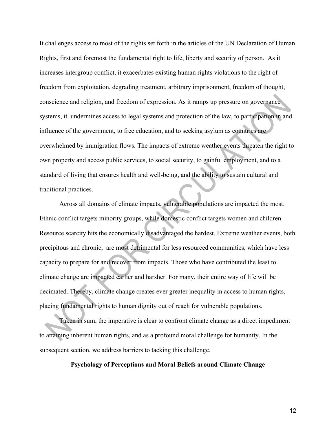It challenges access to most of the rights set forth in the articles of the UN Declaration of Human Rights, first and foremost the fundamental right to life, liberty and security of person. As it increases intergroup conflict, it exacerbates existing human rights violations to the right of freedom from exploitation, degrading treatment, arbitrary imprisonment, freedom of thought, conscience and religion, and freedom of expression. As it ramps up pressure on governance systems, it undermines access to legal systems and protection of the law, to participation in and influence of the government, to free education, and to seeking asylum as countries are overwhelmed by immigration flows. The impacts of extreme weather events threaten the right to own property and access public services, to social security, to gainful employment, and to a standard of living that ensures health and well-being, and the ability to sustain cultural and traditional practices.

Across all domains of climate impacts, vulnerable populations are impacted the most. Ethnic conflict targets minority groups, while domestic conflict targets women and children. Resource scarcity hits the economically disadvantaged the hardest. Extreme weather events, both precipitous and chronic, are most detrimental for less resourced communities, which have less capacity to prepare for and recover from impacts. Those who have contributed the least to climate change are impacted earlier and harsher. For many, their entire way of life will be decimated. Thereby, climate change creates ever greater inequality in access to human rights, placing fundamental rights to human dignity out of reach for vulnerable populations.

Taken in sum, the imperative is clear to confront climate change as a direct impediment to attaining inherent human rights, and as a profound moral challenge for humanity. In the subsequent section, we address barriers to tacking this challenge.

#### **Psychology of Perceptions and Moral Beliefs around Climate Change**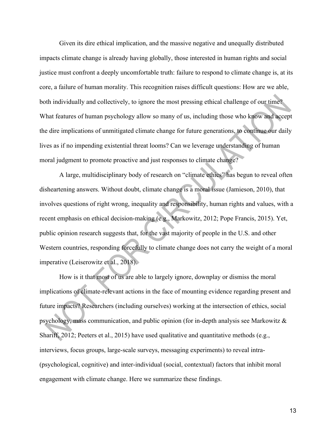Given its dire ethical implication, and the massive negative and unequally distributed impacts climate change is already having globally, those interested in human rights and social justice must confront a deeply uncomfortable truth: failure to respond to climate change is, at its core, a failure of human morality. This recognition raises difficult questions: How are we able, both individually and collectively, to ignore the most pressing ethical challenge of our time? What features of human psychology allow so many of us, including those who know and accept the dire implications of unmitigated climate change for future generations, to continue our daily lives as if no impending existential threat looms? Can we leverage understanding of human moral judgment to promote proactive and just responses to climate change?

A large, multidisciplinary body of research on "climate ethics" has begun to reveal often disheartening answers. Without doubt, climate change is a moral issue (Jamieson, 2010), that involves questions of right wrong, inequality and responsibility, human rights and values, with a recent emphasis on ethical decision-making (e.g., Markowitz, 2012; Pope Francis, 2015). Yet, public opinion research suggests that, for the vast majority of people in the U.S. and other Western countries, responding forcefully to climate change does not carry the weight of a moral imperative (Leiserowitz et al., 2018).

How is it that most of us are able to largely ignore, downplay or dismiss the moral implications of climate-relevant actions in the face of mounting evidence regarding present and future impacts? Researchers (including ourselves) working at the intersection of ethics, social psychology, mass communication, and public opinion (for in-depth analysis see Markowitz & Shariff, 2012; Peeters et al., 2015) have used qualitative and quantitative methods (e.g., interviews, focus groups, large-scale surveys, messaging experiments) to reveal intra- (psychological, cognitive) and inter-individual (social, contextual) factors that inhibit moral engagement with climate change. Here we summarize these findings.

13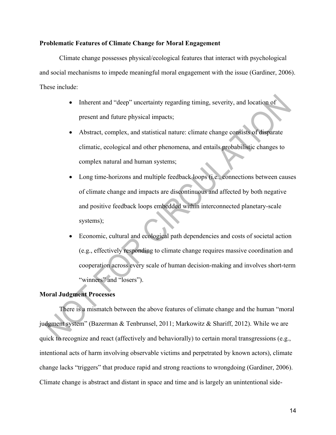#### **Problematic Features of Climate Change for Moral Engagement**

Climate change possesses physical/ecological features that interact with psychological and social mechanisms to impede meaningful moral engagement with the issue (Gardiner, 2006). These include:

- Inherent and "deep" uncertainty regarding timing, severity, and location of present and future physical impacts;
- Abstract, complex, and statistical nature: climate change consists of disparate climatic, ecological and other phenomena, and entails probabilistic changes to complex natural and human systems;
- Long time-horizons and multiple feedback loops (i.e., connections between causes of climate change and impacts are discontinuous and affected by both negative and positive feedback loops embedded within interconnected planetary-scale systems);
- Economic, cultural and ecological path dependencies and costs of societal action (e.g., effectively responding to climate change requires massive coordination and cooperation across every scale of human decision-making and involves short-term "winners" and "losers").

#### **Moral Judgment Processes**

There is a mismatch between the above features of climate change and the human "moral judgment system" (Bazerman & Tenbrunsel, 2011; Markowitz & Shariff, 2012). While we are quick to recognize and react (affectively and behaviorally) to certain moral transgressions (e.g., intentional acts of harm involving observable victims and perpetrated by known actors), climate change lacks "triggers" that produce rapid and strong reactions to wrongdoing (Gardiner, 2006). Climate change is abstract and distant in space and time and is largely an unintentional side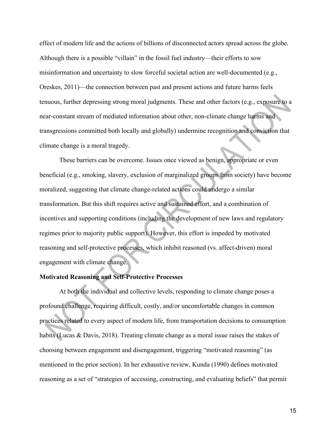effect of modern life and the actions of billions of disconnected actors spread across the globe. Although there is a possible "villain" in the fossil fuel industry—their efforts to sow misinformation and uncertainty to slow forceful societal action are well-documented (e.g., Oreskes, 2011)—the connection between past and present actions and future harms feels tenuous, further depressing strong moral judgments. These and other factors (e.g., exposure to a near-constant stream of mediated information about other, non-climate change harms and transgressions committed both locally and globally) undermine recognition and conviction that climate change is a moral tragedy.

These barriers can be overcome. Issues once viewed as benign, appropriate or even beneficial (e.g., smoking, slavery, exclusion of marginalized groups from society) have become moralized, suggesting that climate change-related actions could undergo a similar transformation. But this shift requires active and sustained effort, and a combination of incentives and supporting conditions (including the development of new laws and regulatory regimes prior to majority public support). However, this effort is impeded by motivated reasoning and self-protective processes, which inhibit reasoned (vs. affect-driven) moral engagement with climate change.

# **Motivated Reasoning and Self-Protective Processes**

At both the individual and collective levels, responding to climate change poses a profound challenge, requiring difficult, costly, and/or uncomfortable changes in common practices related to every aspect of modern life, from transportation decisions to consumption habits (Lucas & Davis, 2018). Treating climate change as a moral issue raises the stakes of choosing between engagement and disengagement, triggering "motivated reasoning" (as mentioned in the prior section). In her exhaustive review, Kunda (1990) defines motivated reasoning as a set of "strategies of accessing, constructing, and evaluating beliefs" that permit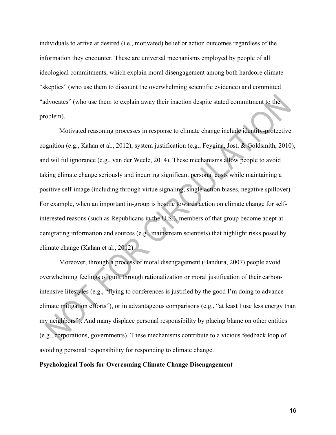individuals to arrive at desired (i.e., motivated) belief or action outcomes regardless of the information they encounter. These are universal mechanisms employed by people of all ideological commitments, which explain moral disengagement among both hardcore climate "skeptics" (who use them to discount the overwhelming scientific evidence) and committed "advocates" (who use them to explain away their inaction despite stated commitment to the problem).

Motivated reasoning processes in response to climate change include identity-protective cognition (e.g., Kahan et al., 2012), system justification (e.g., Feygina, Jost, & Goldsmith, 2010), and willful ignorance (e.g., van der Weele, 2014). These mechanisms allow people to avoid taking climate change seriously and incurring significant personal costs while maintaining a positive self-image (including through virtue signaling, single action biases, negative spillover). For example, when an important in-group is hostile towards action on climate change for selfinterested reasons (such as Republicans in the U.S.), members of that group become adept at denigrating information and sources (e.g., mainstream scientists) that highlight risks posed by climate change (Kahan et al., 2012).

Moreover, through a process of moral disengagement (Bandura, 2007) people avoid overwhelming feelings of guilt through rationalization or moral justification of their carbonintensive lifestyles (e.g., "flying to conferences is justified by the good I'm doing to advance climate mitigation efforts"), or in advantageous comparisons (e.g., "at least I use less energy than my neighbors"). And many displace personal responsibility by placing blame on other entities (e.g., corporations, governments). These mechanisms contribute to a vicious feedback loop of avoiding personal responsibility for responding to climate change.

#### **Psychological Tools for Overcoming Climate Change Disengagement**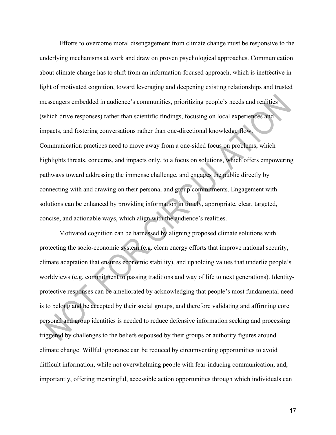Efforts to overcome moral disengagement from climate change must be responsive to the underlying mechanisms at work and draw on proven psychological approaches. Communication about climate change has to shift from an information-focused approach, which is ineffective in light of motivated cognition, toward leveraging and deepening existing relationships and trusted messengers embedded in audience's communities, prioritizing people's needs and realities (which drive responses) rather than scientific findings, focusing on local experiences and impacts, and fostering conversations rather than one-directional knowledge flow. Communication practices need to move away from a one-sided focus on problems, which highlights threats, concerns, and impacts only, to a focus on solutions, which offers empowering pathways toward addressing the immense challenge, and engages the public directly by connecting with and drawing on their personal and group commitments. Engagement with solutions can be enhanced by providing information in timely, appropriate, clear, targeted, concise, and actionable ways, which align with the audience's realities.

Motivated cognition can be harnessed by aligning proposed climate solutions with protecting the socio-economic system (e.g. clean energy efforts that improve national security, climate adaptation that ensures economic stability), and upholding values that underlie people's worldviews (e.g. commitment to passing traditions and way of life to next generations). Identityprotective responses can be ameliorated by acknowledging that people's most fundamental need is to belong and be accepted by their social groups, and therefore validating and affirming core personal and group identities is needed to reduce defensive information seeking and processing triggered by challenges to the beliefs espoused by their groups or authority figures around climate change. Willful ignorance can be reduced by circumventing opportunities to avoid difficult information, while not overwhelming people with fear-inducing communication, and, importantly, offering meaningful, accessible action opportunities through which individuals can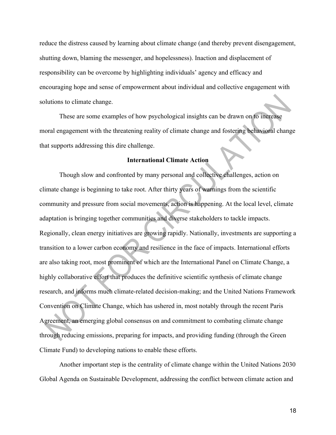reduce the distress caused by learning about climate change (and thereby prevent disengagement, shutting down, blaming the messenger, and hopelessness). Inaction and displacement of responsibility can be overcome by highlighting individuals' agency and efficacy and encouraging hope and sense of empowerment about individual and collective engagement with solutions to climate change.

These are some examples of how psychological insights can be drawn on to increase moral engagement with the threatening reality of climate change and fostering behavioral change that supports addressing this dire challenge.

### **International Climate Action**

Though slow and confronted by many personal and collective challenges, action on climate change is beginning to take root. After thirty years of warnings from the scientific community and pressure from social movements, action is happening. At the local level, climate adaptation is bringing together communities and diverse stakeholders to tackle impacts. Regionally, clean energy initiatives are growing rapidly. Nationally, investments are supporting a transition to a lower carbon economy and resilience in the face of impacts. International efforts are also taking root, most prominent of which are the International Panel on Climate Change, a highly collaborative effort that produces the definitive scientific synthesis of climate change research, and informs much climate-related decision-making; and the United Nations Framework Convention on Climate Change, which has ushered in, most notably through the recent Paris Agreement, an emerging global consensus on and commitment to combating climate change through reducing emissions, preparing for impacts, and providing funding (through the Green Climate Fund) to developing nations to enable these efforts.

Another important step is the centrality of climate change within the United Nations 2030 Global Agenda on Sustainable Development, addressing the conflict between climate action and

18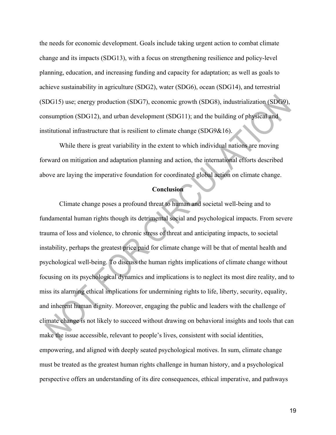the needs for economic development. Goals include taking urgent action to combat climate change and its impacts (SDG13), with a focus on strengthening resilience and policy-level planning, education, and increasing funding and capacity for adaptation; as well as goals to achieve sustainability in agriculture (SDG2), water (SDG6), ocean (SDG14), and terrestrial (SDG15) use; energy production (SDG7), economic growth (SDG8), industrialization (SDG9), consumption (SDG12), and urban development (SDG11); and the building of physical and institutional infrastructure that is resilient to climate change (SDG9&16).

While there is great variability in the extent to which individual nations are moving forward on mitigation and adaptation planning and action, the international efforts described above are laying the imperative foundation for coordinated global action on climate change.

#### **Conclusion**

Climate change poses a profound threat to human and societal well-being and to fundamental human rights though its detrimental social and psychological impacts. From severe trauma of loss and violence, to chronic stress of threat and anticipating impacts, to societal instability, perhaps the greatest price paid for climate change will be that of mental health and psychological well-being. To discuss the human rights implications of climate change without focusing on its psychological dynamics and implications is to neglect its most dire reality, and to miss its alarming ethical implications for undermining rights to life, liberty, security, equality, and inherent human dignity. Moreover, engaging the public and leaders with the challenge of climate change is not likely to succeed without drawing on behavioral insights and tools that can make the issue accessible, relevant to people's lives, consistent with social identities, empowering, and aligned with deeply seated psychological motives. In sum, climate change must be treated as the greatest human rights challenge in human history, and a psychological perspective offers an understanding of its dire consequences, ethical imperative, and pathways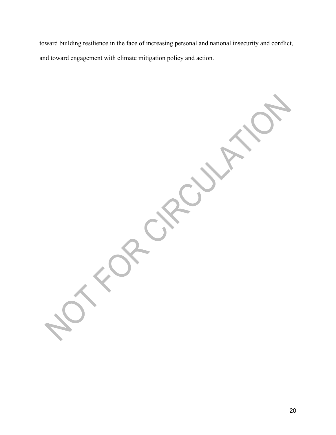toward building resilience in the face of increasing personal and national insecurity and conflict, and toward engagement with climate mitigation policy and action.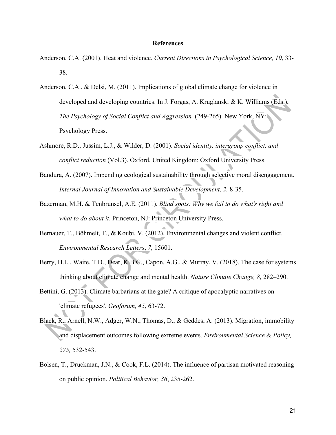#### **References**

- Anderson, C.A. (2001). Heat and violence. *Current Directions in Psychological Science, 10*, 33- 38.
- Anderson, C.A., & Delsi, M. (2011). Implications of global climate change for violence in developed and developing countries. In J. Forgas, A. Kruglanski & K. Williams (Eds.), *The Psychology of Social Conflict and Aggression.* (249-265). New York, NY:1 Psychology Press.
- Ashmore, R.D., Jussim, L.J., & Wilder, D. (2001). *Social identity, intergroup conflict, and conflict reduction* (Vol.3). Oxford, United Kingdom: Oxford University Press.
- Bandura, A. (2007). Impending ecological sustainability through selective moral disengagement. *Internal Journal of Innovation and Sustainable Development, 2,* 8-35.
- Bazerman, M.H. & Tenbrunsel, A.E. (2011). *Blind spots: Why we fail to do what's right and what to do about it*. Princeton, NJ: Princeton University Press.
- Bernauer, T., Böhmelt, T., & Koubi, V. (2012). Environmental changes and violent conflict. *Environmental Research Letters*, *7*, 15601.
- Berry, H.L., Waite, T.D., Dear, K.B.G., Capon, A.G., & Murray, V. (2018). The case for systems thinking about climate change and mental health. *Nature Climate Change, 8,* 282–290.
- Bettini, G. (2013). Climate barbarians at the gate? A critique of apocalyptic narratives on 'climate refugees'. *Geoforum, 45*, 63-72.
- Black, R., Arnell, N.W., Adger, W.N., Thomas, D., & Geddes, A. (2013). Migration, immobility and displacement outcomes following extreme events. *Environmental Science & Policy, 275,* 532-543.
- Bolsen, T., Druckman, J.N., & Cook, F.L. (2014). The influence of partisan motivated reasoning on public opinion. *Political Behavior, 36*, 235-262.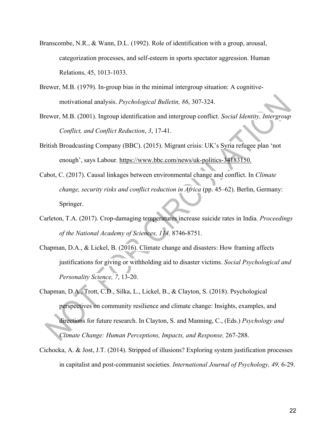- Branscombe, N.R., & Wann, D.L. (1992). Role of identification with a group, arousal, categorization processes, and self-esteem in sports spectator aggression. Human Relations, 45, 1013-1033.
- Brewer, M.B. (1979). In-group bias in the minimal intergroup situation: A cognitivemotivational analysis. *Psychological Bulletin, 86*, 307-324.
- Brewer, M.B. (2001). Ingroup identification and intergroup conflict. *Social Identity, Intergroup Conflict, and Conflict Reduction*, *3*, 17-41.
- British Broadcasting Company (BBC). (2015). Migrant crisis: UK's Syria refugee plan 'not enough', says Labour. https://www.bbc.com/news/uk-politics-34183150.
- Cabot, C. (2017). Causal linkages between environmental change and conflict. In *Climate change, security risks and conflict reduction in Africa* (pp. 45–62). Berlin, Germany: Springer.
- Carleton, T.A. (2017). Crop-damaging temperatures increase suicide rates in India. *Proceedings of the National Academy of Sciences, 114,* 8746-8751.
- Chapman, D.A., & Lickel, B. (2016). Climate change and disasters: How framing affects justifications for giving or withholding aid to disaster victims. *Social Psychological and Personality Science, 7*, 13-20.
- Chapman, D.A., Trott, C.D., Silka, L., Lickel, B., & Clayton, S. (2018). Psychological perspectives on community resilience and climate change: Insights, examples, and directions for future research. In Clayton, S. and Manning, C., (Eds.) *Psychology and Climate Change: Human Perceptions, Impacts, and Response,* 267-288.
- Cichocka, A. & Jost, J.T. (2014). Stripped of illusions? Exploring system justification processes in capitalist and post-communist societies. *International Journal of Psychology, 49,* 6-29.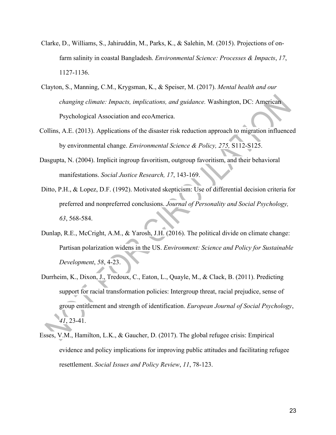- Clarke, D., Williams, S., Jahiruddin, M., Parks, K., & Salehin, M. (2015). Projections of onfarm salinity in coastal Bangladesh. *Environmental Science: Processes & Impacts*, *17*, 1127-1136.
- Clayton, S., Manning, C.M., Krygsman, K., & Speiser, M. (2017). *Mental health and our changing climate: Impacts, implications, and guidance.* Washington, DC: American Psychological Association and ecoAmerica.
- Collins, A.E. (2013). Applications of the disaster risk reduction approach to migration influenced by environmental change. *Environmental Science & Policy, 275,* S112-S125.
- Dasgupta, N. (2004). Implicit ingroup favoritism, outgroup favoritism, and their behavioral manifestations. *Social Justice Research, 17*, 143-169.
- Ditto, P.H., & Lopez, D.F. (1992). Motivated skepticism: Use of differential decision criteria for preferred and nonpreferred conclusions. *Journal of Personality and Social Psychology, 63*, 568-584.
- Dunlap, R.E., McCright, A.M., & Yarosh, J.H. (2016). The political divide on climate change: Partisan polarization widens in the US. *Environment: Science and Policy for Sustainable Development*, *58*, 4-23.
- Durrheim, K., Dixon, J., Tredoux, C., Eaton, L., Quayle, M., & Clack, B. (2011). Predicting support for racial transformation policies: Intergroup threat, racial prejudice, sense of group entitlement and strength of identification. *European Journal of Social Psychology*, *41*, 23-41.
- Esses, V.M., Hamilton, L.K., & Gaucher, D. (2017). The global refugee crisis: Empirical evidence and policy implications for improving public attitudes and facilitating refugee resettlement. *Social Issues and Policy Review*, *11*, 78-123.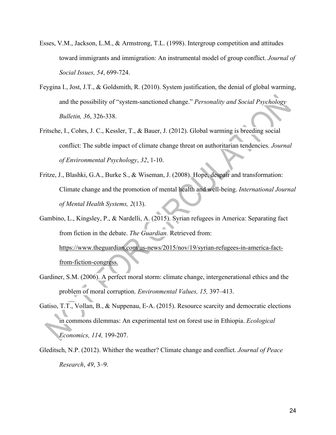- Esses, V.M., Jackson, L.M., & Armstrong, T.L. (1998). Intergroup competition and attitudes toward immigrants and immigration: An instrumental model of group conflict. *Journal of Social Issues, 54*, 699-724.
- Feygina I., Jost, J.T., & Goldsmith, R. (2010). System justification, the denial of global warming, and the possibility of "system-sanctioned change." *Personality and Social Psychology Bulletin, 36*, 326-338.
- Fritsche, I., Cohrs, J. C., Kessler, T., & Bauer, J. (2012). Global warming is breeding social conflict: The subtle impact of climate change threat on authoritarian tendencies. *Journal of Environmental Psychology*, *32*, 1-10.
- Fritze, J., Blashki, G.A., Burke S., & Wiseman, J. (2008). Hope, despair and transformation: Climate change and the promotion of mental health and well-being. *International Journal of Mental Health Systems, 2*(13).
- Gambino, L., Kingsley, P., & Nardelli, A. (2015). Syrian refugees in America: Separating fact from fiction in the debate. *The Guardian.* Retrieved from: https://www.theguardian.com/us-news/2015/nov/19/syrian-refugees-in-america-factfrom-fiction-congress.
- Gardiner, S.M. (2006). A perfect moral storm: climate change, intergenerational ethics and the problem of moral corruption. *Environmental Values, 15,* 397–413.
- Gatiso, T.T., Vollan, B., & Nuppenau, E-A. (2015). Resource scarcity and democratic elections in commons dilemmas: An experimental test on forest use in Ethiopia. *Ecological Economics, 114,* 199-207.
- Gleditsch, N.P. (2012). Whither the weather? Climate change and conflict. *Journal of Peace Research*, *49*, 3–9.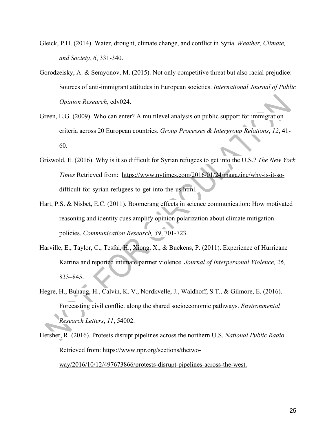- Gleick, P.H. (2014). Water, drought, climate change, and conflict in Syria. *Weather, Climate, and Society, 6*, 331-340.
- Gorodzeisky, A. & Semyonov, M. (2015). Not only competitive threat but also racial prejudice: Sources of anti-immigrant attitudes in European societies. *International Journal of Public Opinion Research*, edv024.
- Green, E.G. (2009). Who can enter? A multilevel analysis on public support for immigration criteria across 20 European countries. *Group Processes & Intergroup Relations*, *12*, 41- 60.
- Griswold, E. (2016). Why is it so difficult for Syrian refugees to get into the U.S.? *The New York Times* Retrieved from:*.* https://www.nytimes.com/2016/01/24/magazine/why-is-it-sodifficult-for-syrian-refugees-to-get-into-the-us.html.
- Hart, P.S. & Nisbet, E.C. (2011). Boomerang effects in science communication: How motivated reasoning and identity cues amplify opinion polarization about climate mitigation policies. *Communication Research, 39*, 701-723.
- Harville, E., Taylor, C., Tesfai, H., Xiong, X., & Buekens, P. (2011). Experience of Hurricane Katrina and reported intimate partner violence. *Journal of Interpersonal Violence, 26,* 833–845.
- Hegre, H., Buhaug, H., Calvin, K. V., Nordkvelle, J., Waldhoff, S.T., & Gilmore, E. (2016). Forecasting civil conflict along the shared socioeconomic pathways. *Environmental Research Letters*, *11*, 54002.
- Hersher, R. (2016). Protests disrupt pipelines across the northern U.S. *National Public Radio.* Retrieved from: https://www.npr.org/sections/thetwo-

way/2016/10/12/497673866/protests-disrupt-pipelines-across-the-west.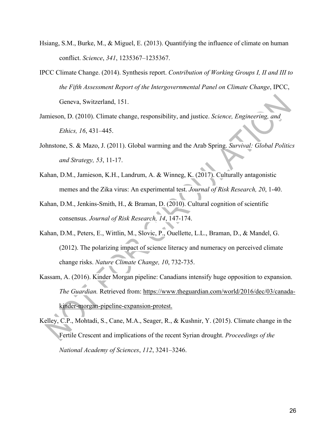- Hsiang, S.M., Burke, M., & Miguel, E. (2013). Quantifying the influence of climate on human conflict. *Science*, *341*, 1235367–1235367.
- IPCC Climate Change. (2014). Synthesis report. *Contribution of Working Groups I, II and III to the Fifth Assessment Report of the Intergovernmental Panel on Climate Change*, IPCC, Geneva, Switzerland, 151.
- Jamieson, D. (2010). Climate change, responsibility, and justice. *Science, Engineering, and Ethics, 16*, 431–445.
- Johnstone, S. & Mazo, J. (2011). Global warming and the Arab Spring. *Survival: Global Politics and Strategy, 53*, 11-17.
- Kahan, D.M., Jamieson, K.H., Landrum, A. & Winneg, K. (2017). Culturally antagonistic memes and the Zika virus: An experimental test. *Journal of Risk Research, 20*, 1-40.
- Kahan, D.M., Jenkins-Smith, H., & Braman, D. (2010). Cultural cognition of scientific consensus. *Journal of Risk Research, 14*, 147-174.
- Kahan, D.M., Peters, E., Wittlin, M., Slovic, P., Ouellette, L.L., Braman, D., & Mandel, G. (2012). The polarizing impact of science literacy and numeracy on perceived climate change risks. *Nature Climate Change, 10*, 732-735.
- Kassam, A. (2016). Kinder Morgan pipeline: Canadians intensify huge opposition to expansion. *The Guardian.* Retrieved from: https://www.theguardian.com/world/2016/dec/03/canadakinder-morgan-pipeline-expansion-protest.
- Kelley, C.P., Mohtadi, S., Cane, M.A., Seager, R., & Kushnir, Y. (2015). Climate change in the Fertile Crescent and implications of the recent Syrian drought. *Proceedings of the National Academy of Sciences*, *112*, 3241–3246.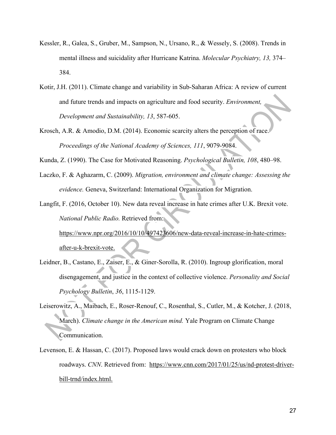- Kessler, R., Galea, S., Gruber, M., Sampson, N., Ursano, R., & Wessely, S. (2008). Trends in mental illness and suicidality after Hurricane Katrina. *Molecular Psychiatry, 13,* 374– 384.
- Kotir, J.H. (2011). Climate change and variability in Sub-Saharan Africa: A review of current and future trends and impacts on agriculture and food security. *Environment, Development and Sustainability, 13*, 587-605.
- Krosch, A.R. & Amodio, D.M. (2014). Economic scarcity alters the perception of race. *Proceedings of the National Academy of Sciences, 111*, 9079-9084.

Kunda, Z. (1990). The Case for Motivated Reasoning. *Psychological Bulletin, 108*, 480–98.

- Laczko, F. & Aghazarm, C. (2009). *Migration, environment and climate change: Assessing the evidence.* Geneva, Switzerland: International Organization for Migration.
- Langfit, F. (2016, October 10). New data reveal increase in hate crimes after U.K. Brexit vote. *National Public Radio.* Retrieved from:

https://www.npr.org/2016/10/10/497423606/new-data-reveal-increase-in-hate-crimesafter-u-k-brexit-vote.

- Leidner, B., Castano, E., Zaiser, E., & Giner-Sorolla, R. (2010). Ingroup glorification, moral disengagement, and justice in the context of collective violence. *Personality and Social Psychology Bulletin*, *36*, 1115-1129.
- Leiserowitz, A., Maibach, E., Roser-Renouf, C., Rosenthal, S., Cutler, M., & Kotcher, J. (2018, March). *Climate change in the American mind.* Yale Program on Climate Change Communication.
- Levenson, E. & Hassan, C. (2017). Proposed laws would crack down on protesters who block roadways. *CNN*. Retrieved from: https://www.cnn.com/2017/01/25/us/nd-protest-driverbill-trnd/index.html.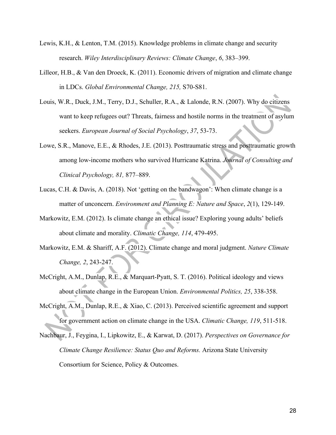- Lewis, K.H., & Lenton, T.M. (2015). Knowledge problems in climate change and security research. *Wiley Interdisciplinary Reviews: Climate Change*, *6*, 383–399.
- Lilleor, H.B., & Van den Droeck, K. (2011). Economic drivers of migration and climate change in LDCs. *Global Environmental Change, 215,* S70-S81.
- Louis, W.R., Duck, J.M., Terry, D.J., Schuller, R.A., & Lalonde, R.N. (2007). Why do citizens want to keep refugees out? Threats, fairness and hostile norms in the treatment of asylum seekers. *European Journal of Social Psychology*, *37*, 53-73.
- Lowe, S.R., Manove, E.E., & Rhodes, J.E. (2013). Posttraumatic stress and posttraumatic growth among low-income mothers who survived Hurricane Katrina. *Journal of Consulting and Clinical Psychology, 81,* 877–889.
- Lucas, C.H. & Davis, A. (2018). Not 'getting on the bandwagon': When climate change is a matter of unconcern. *Environment and Planning E: Nature and Space*, *2*(1), 129-149.
- Markowitz, E.M. (2012). Is climate change an ethical issue? Exploring young adults' beliefs about climate and morality. *Climatic Change, 114*, 479-495.
- Markowitz, E.M. & Shariff, A.F. (2012). Climate change and moral judgment. *Nature Climate Change, 2*, 243-247.
- McCright, A.M., Dunlap, R.E., & Marquart-Pyatt, S. T. (2016). Political ideology and views about climate change in the European Union. *Environmental Politics, 25*, 338-358.
- McCright, A.M., Dunlap, R.E., & Xiao, C. (2013). Perceived scientific agreement and support for government action on climate change in the USA. *Climatic Change, 119*, 511-518.
- Nachbaur, J., Feygina, I., Lipkowitz, E., & Karwat, D. (2017). *Perspectives on Governance for Climate Change Resilience: Status Quo and Reforms.* Arizona State University Consortium for Science, Policy & Outcomes.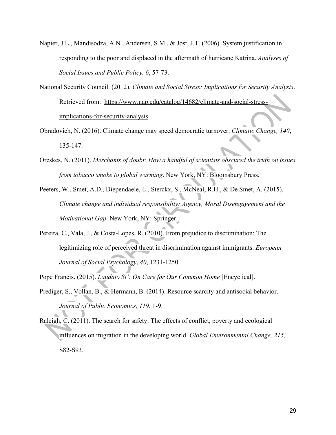- Napier, J.L., Mandisodza, A.N., Andersen, S.M., & Jost, J.T. (2006). System justification in responding to the poor and displaced in the aftermath of hurricane Katrina. *Analyses of Social Issues and Public Policy, 6*, 57-73.
- National Security Council. (2012). *Climate and Social Stress: Implications for Security Analysis*. Retrieved from: https://www.nap.edu/catalog/14682/climate-and-social-stressimplications-for-security-analysis.
- Obradovich, N. (2016). Climate change may speed democratic turnover. *Climatic Change, 140*, 135-147.
- Oreskes, N. (2011). *Merchants of doubt: How a handful of scientists obscured the truth on issues from tobacco smoke to global warming*. New York, NY: Bloomsbury Press.
- Peeters, W., Smet, A.D., Diependaele, L., Sterckx, S., McNeal, R.H., & De Smet, A. (2015). *Climate change and individual responsibility: Agency, Moral Disengagement and the Motivational Gap*. New York, NY: Springer.
- Pereira, C., Vala, J., & Costa‐Lopes, R. (2010). From prejudice to discrimination: The legitimizing role of perceived threat in discrimination against immigrants. *European Journal of Social Psychology*, *40*, 1231-1250.
- Pope Francis. (2015). *Laudato Si': On Care for Our Common Home* [Encyclical].
- Prediger, S., Vollan, B., & Hermann, B. (2014). Resource scarcity and antisocial behavior. *Journal of Public Economics, 119*, 1-9.

Raleigh, C. (2011). The search for safety: The effects of conflict, poverty and ecological influences on migration in the developing world. *Global Environmental Change, 215,*  S82-S93.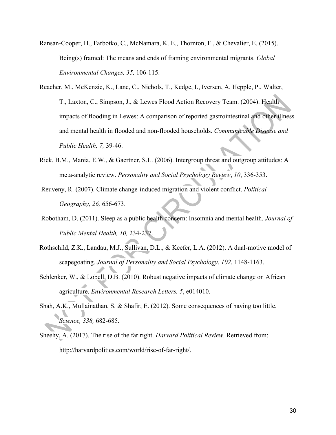- Ransan-Cooper, H., Farbotko, C., McNamara, K. E., Thornton, F., & Chevalier, E. (2015). Being(s) framed: The means and ends of framing environmental migrants. *Global Environmental Changes, 35,* 106-115.
- Reacher, M., McKenzie, K., Lane, C., Nichols, T., Kedge, I., Iversen, A, Hepple, P., Walter, T., Laxton, C., Simpson, J., & Lewes Flood Action Recovery Team. (2004). Health impacts of flooding in Lewes: A comparison of reported gastrointestinal and other illness and mental health in flooded and non-flooded households. *Communicable Disease and Public Health, 7,* 39-46.
- Riek, B.M., Mania, E.W., & Gaertner, S.L. (2006). Intergroup threat and outgroup attitudes: A meta-analytic review. *Personality and Social Psychology Review*, *10*, 336-353.
- Reuveny, R. (2007). Climate change-induced migration and violent conflict. *Political Geography, 26,* 656-673.
- Robotham, D. (2011). Sleep as a public health concern: Insomnia and mental health. *Journal of Public Mental Health, 10,* 234-237.
- Rothschild, Z.K., Landau, M.J., Sullivan, D.L., & Keefer, L.A. (2012). A dual-motive model of scapegoating. *Journal of Personality and Social Psychology*, *102*, 1148-1163.
- Schlenker, W., & Lobell, D.B. (2010). Robust negative impacts of climate change on African agriculture. *Environmental Research Letters, 5*, e014010.
- Shah, A.K., Mullainathan, S. & Shafir, E. (2012). Some consequences of having too little. *Science, 338,* 682-685.
- Sheehy, A. (2017). The rise of the far right. *Harvard Political Review.* Retrieved from: http://harvardpolitics.com/world/rise-of-far-right/.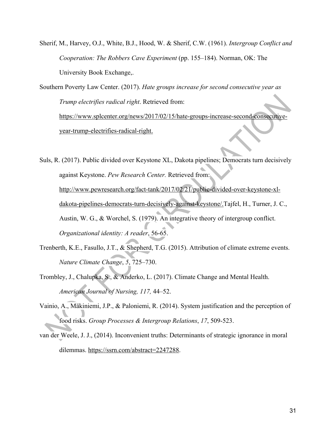Sherif, M., Harvey, O.J., White, B.J., Hood, W. & Sherif, C.W. (1961). *Intergroup Conflict and Cooperation: The Robbers Cave Experiment* (pp. 155–184). Norman, OK: The University Book Exchange,.

Southern Poverty Law Center. (2017). *Hate groups increase for second consecutive year as Trump electrifies radical right*. Retrieved from: https://www.splcenter.org/news/2017/02/15/hate-groups-increase-second-consecutiveyear-trump-electrifies-radical-right.

Suls, R. (2017). Public divided over Keystone XL, Dakota pipelines; Democrats turn decisively against Keystone. *Pew Research Center.* Retrieved from: http://www.pewresearch.org/fact-tank/2017/02/21/public-divided-over-keystone-xldakota-pipelines-democrats-turn-decisively-against-keystone/.Tajfel, H., Turner, J. C., Austin, W. G., & Worchel, S. (1979). An integrative theory of intergroup conflict. *Organizational identity: A reader*, 56-65.

- Trenberth, K.E., Fasullo, J.T., & Shepherd, T.G. (2015). Attribution of climate extreme events. *Nature Climate Change*, *5*, 725–730.
- Trombley, J., Chalupka, S., & Anderko, L. (2017). Climate Change and Mental Health. *American Journal of Nursing, 117,* 44–52.
- Vainio, A., Mäkiniemi, J.P., & Paloniemi, R. (2014). System justification and the perception of food risks. *Group Processes & Intergroup Relations*, *17*, 509-523.
- van der Weele, J. J., (2014). Inconvenient truths: Determinants of strategic ignorance in moral dilemmas. https://ssrn.com/abstract=2247288.